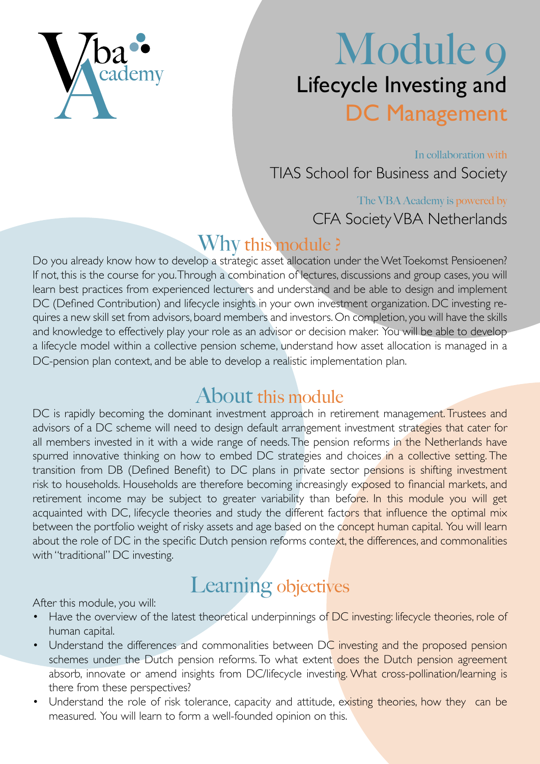

# Module 9 Lifecycle Investing and DC Management

In collaboration with TIAS School for Business and Society

#### The VBA Academy is powered by CFA Society VBA Netherlands

#### Why this module ?

Do you already know how to develop a strategic asset allocation under the Wet Toekomst Pensioenen? If not, this is the course for you. Through a combination of lectures, discussions and group cases, you will learn best practices from experienced lecturers and understand and be able to design and implement DC (Defined Contribution) and lifecycle insights in your own investment organization. DC investing requires a new skill set from advisors, board members and investors. On completion, you will have the skills and knowledge to effectively play your role as an advisor or decision maker. You will be able to develop a lifecycle model within a collective pension scheme, understand how asset allocation is managed in a DC-pension plan context, and be able to develop a realistic implementation plan.

#### About this module

DC is rapidly becoming the dominant investment approach in retirement management. Trustees and advisors of a DC scheme will need to design default arrangement investment strategies that cater for all members invested in it with a wide range of needs. The pension reforms in the Netherlands have spurred innovative thinking on how to embed DC strategies and choices in a collective setting. The transition from DB (Defined Benefit) to DC plans in private sector pensions is shifting investment risk to households. Households are therefore becoming increasingly exposed to financial markets, and retirement income may be subject to greater variability than before. In this module you will get acquainted with DC, lifecycle theories and study the different factors that influence the optimal mix between the portfolio weight of risky assets and age based on the concept human capital. You will learn about the role of DC in the specific Dutch pension reforms context, the differences, and commonalities with "traditional" DC investing.

### Learning objectives

After this module, you will:

- Have the overview of the latest theoretical underpinnings of DC investing: lifecycle theories, role of human capital.
- Understand the differences and commonalities between DC investing and the proposed pension schemes under the Dutch pension reforms. To what extent does the Dutch pension agreement absorb, innovate or amend insights from DC/lifecycle investing. What cross-pollination/learning is there from these perspectives?
- Understand the role of risk tolerance, capacity and attitude, existing theories, how they can be measured. You will learn to form a well-founded opinion on this.